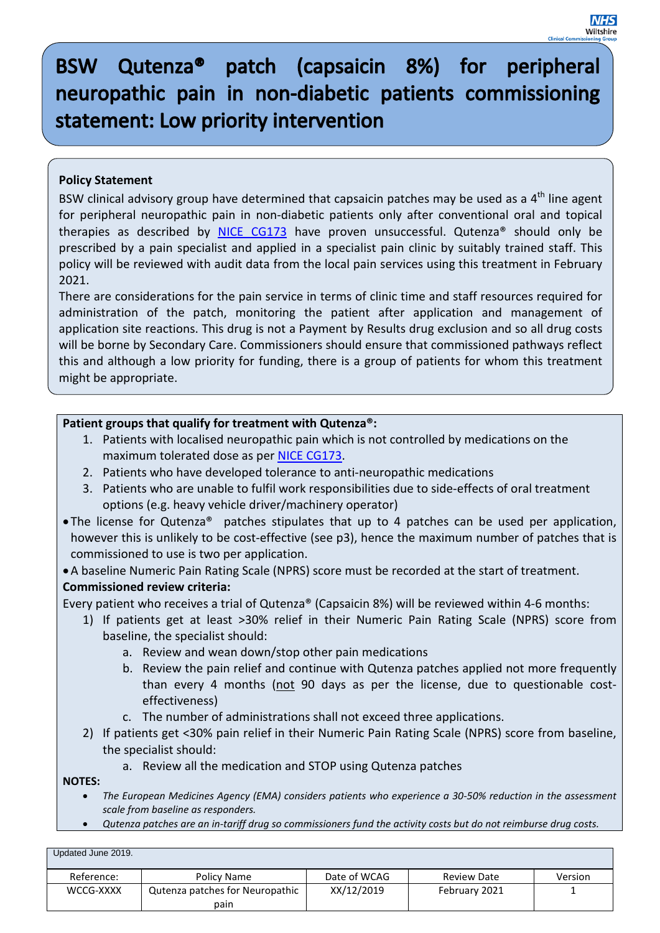**NHS** Wiltshir

# **Policy Statement**

BSW clinical advisory group have determined that capsaicin patches may be used as a  $4<sup>th</sup>$  line agent for peripheral neuropathic pain in non-diabetic patients only after conventional oral and topical therapies as described by [NICE CG173](http://www.nice.org.uk/guidance/cg173) have proven unsuccessful. Qutenza<sup>®</sup> should only be prescribed by a pain specialist and applied in a specialist pain clinic by suitably trained staff. This policy will be reviewed with audit data from the local pain services using this treatment in February 2021.

There are considerations for the pain service in terms of clinic time and staff resources required for administration of the patch, monitoring the patient after application and management of application site reactions. This drug is not a Payment by Results drug exclusion and so all drug costs will be borne by Secondary Care. Commissioners should ensure that commissioned pathways reflect this and although a low priority for funding, there is a group of patients for whom this treatment might be appropriate.

## **Patient groups that qualify for treatment with Qutenza®:**

- 1. Patients with localised neuropathic pain which is not controlled by medications on the maximum tolerated dose as per [NICE CG173.](http://www.nice.org.uk/guidance/cg173)
- 2. Patients who have developed tolerance to anti-neuropathic medications
- 3. Patients who are unable to fulfil work responsibilities due to side-effects of oral treatment options (e.g. heavy vehicle driver/machinery operator)
- The license for Qutenza® patches stipulates that up to 4 patches can be used per application, however this is unlikely to be cost-effective (see p3), hence the maximum number of patches that is commissioned to use is two per application.
- •A baseline Numeric Pain Rating Scale (NPRS) score must be recorded at the start of treatment. **Commissioned review criteria:**
- Every patient who receives a trial of Qutenza® (Capsaicin 8%) will be reviewed within 4-6 months:
	- 1) If patients get at least >30% relief in their Numeric Pain Rating Scale (NPRS) score from baseline, the specialist should:
		- a. Review and wean down/stop other pain medications
		- b. Review the pain relief and continue with Qutenza patches applied not more frequently than every 4 months (not 90 days as per the license, due to questionable costeffectiveness)
		- c. The number of administrations shall not exceed three applications.
	- 2) If patients get <30% pain relief in their Numeric Pain Rating Scale (NPRS) score from baseline, the specialist should:
		- a. Review all the medication and STOP using Qutenza patches

**NOTES:** 

- *The European Medicines Agency (EMA) considers patients who experience a 30-50% reduction in the assessment scale from baseline as responders.*
- *Qutenza patches are an in-tariff drug so commissioners fund the activity costs but do not reimburse drug costs.*

| Updated June 2019. |                                 |              |                    |         |
|--------------------|---------------------------------|--------------|--------------------|---------|
| Reference:         | Policy Name                     | Date of WCAG | <b>Review Date</b> | Version |
| WCCG-XXXX          | Qutenza patches for Neuropathic | XX/12/2019   | February 2021      |         |
|                    | pain                            |              |                    |         |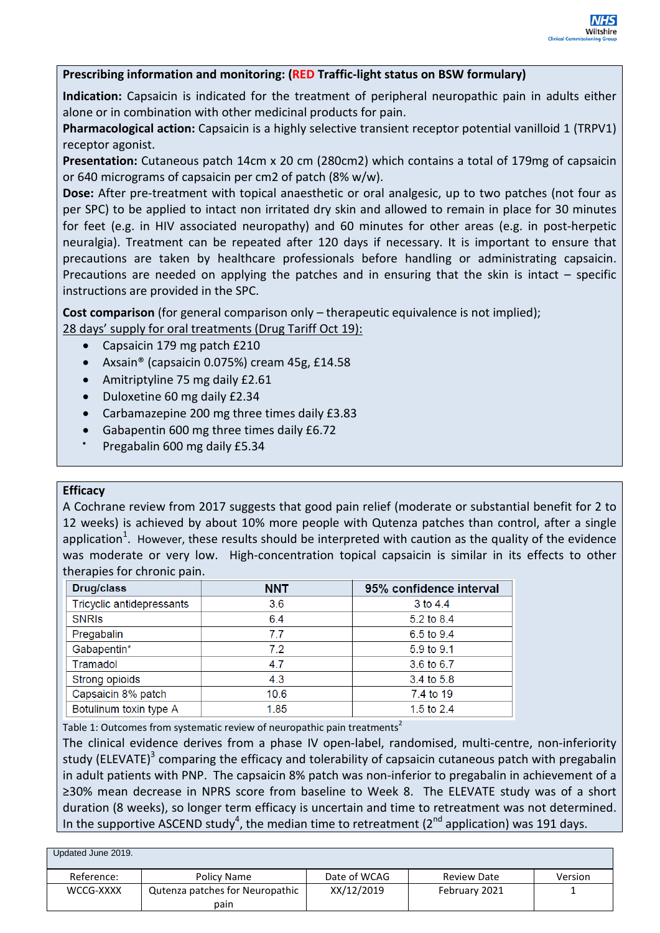### **Prescribing information and monitoring: (RED Traffic-light status on BSW formulary)**

**Indication:** Capsaicin is indicated for the treatment of peripheral neuropathic pain in adults either alone or in combination with other medicinal products for pain.

**Pharmacological action:** Capsaicin is a highly selective transient receptor potential vanilloid 1 (TRPV1) receptor agonist.

**Presentation:** Cutaneous patch 14cm x 20 cm (280cm2) which contains a total of 179mg of capsaicin or 640 micrograms of capsaicin per cm2 of patch (8% w/w).

**Dose:** After pre-treatment with topical anaesthetic or oral analgesic, up to two patches (not four as per SPC) to be applied to intact non irritated dry skin and allowed to remain in place for 30 minutes for feet (e.g. in HIV associated neuropathy) and 60 minutes for other areas (e.g. in post-herpetic neuralgia). Treatment can be repeated after 120 days if necessary. It is important to ensure that precautions are taken by healthcare professionals before handling or administrating capsaicin. Precautions are needed on applying the patches and in ensuring that the skin is intact – specific instructions are provided in the SPC.

**Cost comparison** (for general comparison only – therapeutic equivalence is not implied);

28 days' supply for oral treatments (Drug Tariff Oct 19):

- Capsaicin 179 mg patch £210
- Axsain® (capsaicin 0.075%) cream 45g, £14.58
- Amitriptyline 75 mg daily £2.61
- Duloxetine 60 mg daily £2.34
- Carbamazepine 200 mg three times daily £3.83
- Gabapentin 600 mg three times daily £6.72
- Pregabalin 600 mg daily £5.34

#### **Efficacy**

A Cochrane review from 2017 suggests that good pain relief (moderate or substantial benefit for 2 to 12 weeks) is achieved by about 10% more people with Qutenza patches than control, after a single application<sup>1</sup>. However, these results should be interpreted with caution as the quality of the evidence was moderate or very low. High-concentration topical capsaicin is similar in its effects to other therapies for chronic pain.

| <b>Drug/class</b>         | <b>NNT</b> | 95% confidence interval |  |
|---------------------------|------------|-------------------------|--|
| Tricyclic antidepressants | 3.6        | 3 to 4.4                |  |
| <b>SNRIS</b>              | 6.4        | 5.2 to 8.4              |  |
| Pregabalin                | 77         | 6.5 to 9.4              |  |
| Gabapentin*               | 7.2        | 5.9 to 9.1              |  |
| Tramadol                  | 4.7        | 3.6 to 6.7              |  |
| Strong opioids            | 4.3        | 3.4 to 5.8              |  |
| Capsaicin 8% patch        | 10.6       | 7.4 to 19               |  |
| Botulinum toxin type A    | 1.85       | 1.5 to $2.4$            |  |

Table 1: Outcomes from systematic review of neuropathic pain treatments<sup>2</sup>

The clinical evidence derives from a phase IV open-label, randomised, multi-centre, non-inferiority study (ELEVATE)<sup>3</sup> comparing the efficacy and tolerability of capsaicin cutaneous patch with pregabalin in adult patients with PNP. The capsaicin 8% patch was non-inferior to pregabalin in achievement of a ≥30% mean decrease in NPRS score from baseline to Week 8. The ELEVATE study was of a short duration (8 weeks), so longer term efficacy is uncertain and time to retreatment was not determined. In the supportive ASCEND study<sup>4</sup>, the median time to retreatment (2<sup>nd</sup> application) was 191 days.

| Updated June 2019. |                                 |              |                    |         |
|--------------------|---------------------------------|--------------|--------------------|---------|
| Reference:         | Policy Name                     | Date of WCAG | <b>Review Date</b> | Version |
| WCCG-XXXX          | Qutenza patches for Neuropathic | XX/12/2019   | February 2021      |         |
|                    | pain                            |              |                    |         |